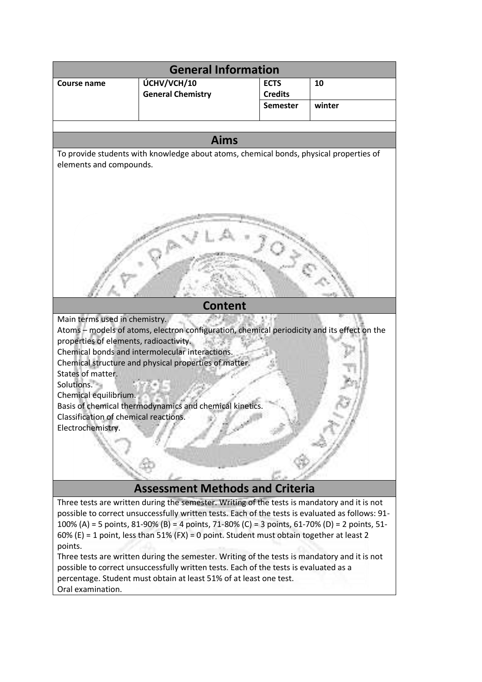| <b>General Information</b>                                                                          |                          |                 |        |
|-----------------------------------------------------------------------------------------------------|--------------------------|-----------------|--------|
| Course name                                                                                         | ÚCHV/VCH/10              | <b>ECTS</b>     | 10     |
|                                                                                                     | <b>General Chemistry</b> | <b>Credits</b>  |        |
|                                                                                                     |                          | <b>Semester</b> | winter |
|                                                                                                     |                          |                 |        |
| <b>Aims</b>                                                                                         |                          |                 |        |
| To provide students with knowledge about atoms, chemical bonds, physical properties of              |                          |                 |        |
| elements and compounds.                                                                             |                          |                 |        |
|                                                                                                     |                          |                 |        |
|                                                                                                     |                          |                 |        |
|                                                                                                     |                          |                 |        |
|                                                                                                     |                          |                 |        |
|                                                                                                     |                          |                 |        |
|                                                                                                     |                          |                 |        |
|                                                                                                     |                          |                 |        |
|                                                                                                     |                          |                 |        |
|                                                                                                     |                          |                 |        |
|                                                                                                     |                          |                 |        |
| <b>Content</b>                                                                                      |                          |                 |        |
| Main terms used in chemistry.                                                                       |                          |                 |        |
| Atoms - models of atoms, electron configuration, chemical periodicity and its effect on the         |                          |                 |        |
| properties of elements, radioactivity.                                                              |                          |                 |        |
| Chemical bonds and intermolecular interactions.                                                     |                          |                 |        |
| Chemical structure and physical properties of matter.                                               |                          |                 |        |
| States of matter.                                                                                   |                          |                 |        |
| Solutions.                                                                                          |                          |                 |        |
| Chemical equilibrium.<br>Basis of chemical thermodynamics and chemical kinetics.                    |                          |                 |        |
| Classification of chemical reactions.                                                               |                          |                 |        |
| Electrochemistry.                                                                                   |                          |                 |        |
|                                                                                                     |                          |                 |        |
|                                                                                                     |                          |                 |        |
|                                                                                                     |                          |                 |        |
|                                                                                                     |                          |                 |        |
| <b>Assessment Methods and Criteria</b>                                                              |                          |                 |        |
| Three tests are written during the semester. Writing of the tests is mandatory and it is not        |                          |                 |        |
| possible to correct unsuccessfully written tests. Each of the tests is evaluated as follows: 91-    |                          |                 |        |
| 100% (A) = 5 points, 81-90% (B) = 4 points, 71-80% (C) = 3 points, 61-70% (D) = 2 points, 51-       |                          |                 |        |
| 60% (E) = 1 point, less than 51% (FX) = 0 point. Student must obtain together at least 2<br>points. |                          |                 |        |
| Three tests are written during the semester. Writing of the tests is mandatory and it is not        |                          |                 |        |
| possible to correct unsuccessfully written tests. Each of the tests is evaluated as a               |                          |                 |        |
| percentage. Student must obtain at least 51% of at least one test.                                  |                          |                 |        |
| Oral examination.                                                                                   |                          |                 |        |